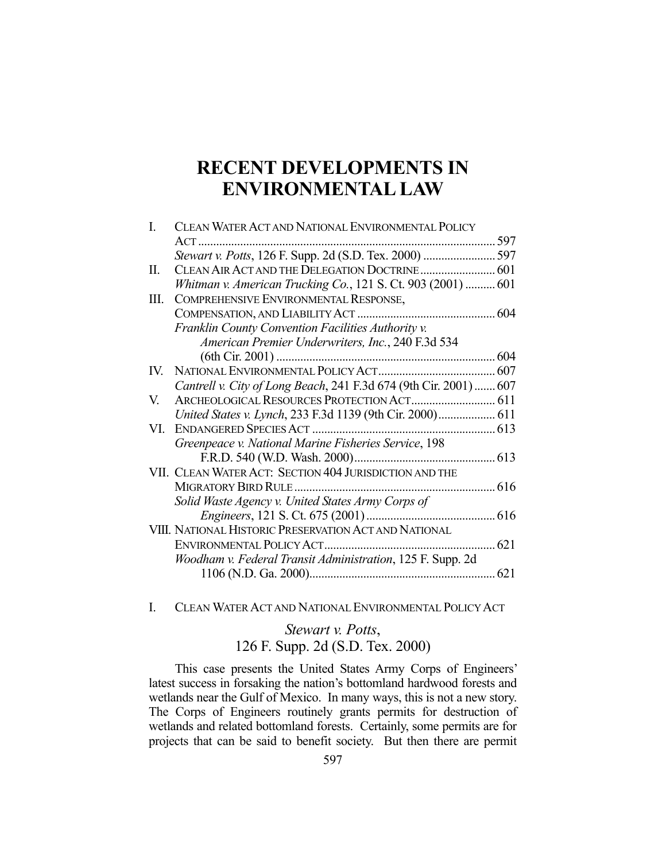# **RECENT DEVELOPMENTS IN ENVIRONMENTAL LAW**

| I.  | CLEAN WATER ACT AND NATIONAL ENVIRONMENTAL POLICY                 |             |
|-----|-------------------------------------------------------------------|-------------|
|     |                                                                   |             |
|     | Stewart v. Potts, 126 F. Supp. 2d (S.D. Tex. 2000)  597           |             |
| II. | CLEAN AIR ACT AND THE DELEGATION DOCTRINE 601                     |             |
|     | Whitman v. American Trucking Co., 121 S. Ct. 903 (2001)  601      |             |
| Ш.  | COMPREHENSIVE ENVIRONMENTAL RESPONSE,                             |             |
|     |                                                                   |             |
|     | Franklin County Convention Facilities Authority v.                |             |
|     | American Premier Underwriters, Inc., 240 F.3d 534                 |             |
|     |                                                                   |             |
| IV. |                                                                   |             |
|     | Cantrell v. City of Long Beach, 241 F.3d 674 (9th Cir. 2001)  607 |             |
| V.  |                                                                   |             |
|     | United States v. Lynch, 233 F.3d 1139 (9th Cir. 2000) 611         |             |
| VL. |                                                                   |             |
|     | Greenpeace v. National Marine Fisheries Service, 198              |             |
|     |                                                                   |             |
|     | VII. CLEAN WATER ACT: SECTION 404 JURISDICTION AND THE            |             |
|     | MIGRATORY BIRD RULE                                               |             |
|     | Solid Waste Agency v. United States Army Corps of                 |             |
|     |                                                                   |             |
|     | VIII. NATIONAL HISTORIC PRESERVATION ACT AND NATIONAL             |             |
|     | ENVIRONMENTAL POLICY ACT                                          | $\dots 621$ |
|     | Woodham v. Federal Transit Administration, 125 F. Supp. 2d        |             |
|     |                                                                   |             |
|     |                                                                   |             |

#### I. CLEAN WATER ACT AND NATIONAL ENVIRONMENTAL POLICY ACT

# *Stewart v. Potts*, 126 F. Supp. 2d (S.D. Tex. 2000)

 This case presents the United States Army Corps of Engineers' latest success in forsaking the nation's bottomland hardwood forests and wetlands near the Gulf of Mexico. In many ways, this is not a new story. The Corps of Engineers routinely grants permits for destruction of wetlands and related bottomland forests. Certainly, some permits are for projects that can be said to benefit society. But then there are permit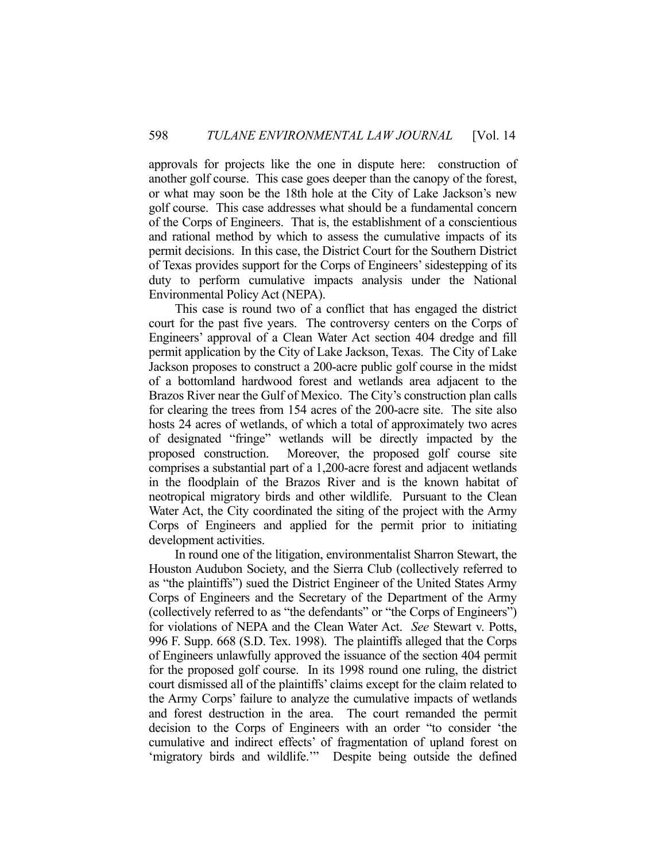approvals for projects like the one in dispute here: construction of another golf course. This case goes deeper than the canopy of the forest, or what may soon be the 18th hole at the City of Lake Jackson's new golf course. This case addresses what should be a fundamental concern of the Corps of Engineers. That is, the establishment of a conscientious and rational method by which to assess the cumulative impacts of its permit decisions. In this case, the District Court for the Southern District of Texas provides support for the Corps of Engineers' sidestepping of its duty to perform cumulative impacts analysis under the National Environmental Policy Act (NEPA).

 This case is round two of a conflict that has engaged the district court for the past five years. The controversy centers on the Corps of Engineers' approval of a Clean Water Act section 404 dredge and fill permit application by the City of Lake Jackson, Texas. The City of Lake Jackson proposes to construct a 200-acre public golf course in the midst of a bottomland hardwood forest and wetlands area adjacent to the Brazos River near the Gulf of Mexico. The City's construction plan calls for clearing the trees from 154 acres of the 200-acre site. The site also hosts 24 acres of wetlands, of which a total of approximately two acres of designated "fringe" wetlands will be directly impacted by the proposed construction. Moreover, the proposed golf course site comprises a substantial part of a 1,200-acre forest and adjacent wetlands in the floodplain of the Brazos River and is the known habitat of neotropical migratory birds and other wildlife. Pursuant to the Clean Water Act, the City coordinated the siting of the project with the Army Corps of Engineers and applied for the permit prior to initiating development activities.

 In round one of the litigation, environmentalist Sharron Stewart, the Houston Audubon Society, and the Sierra Club (collectively referred to as "the plaintiffs") sued the District Engineer of the United States Army Corps of Engineers and the Secretary of the Department of the Army (collectively referred to as "the defendants" or "the Corps of Engineers") for violations of NEPA and the Clean Water Act. *See* Stewart v. Potts, 996 F. Supp. 668 (S.D. Tex. 1998). The plaintiffs alleged that the Corps of Engineers unlawfully approved the issuance of the section 404 permit for the proposed golf course. In its 1998 round one ruling, the district court dismissed all of the plaintiffs' claims except for the claim related to the Army Corps' failure to analyze the cumulative impacts of wetlands and forest destruction in the area. The court remanded the permit decision to the Corps of Engineers with an order "to consider 'the cumulative and indirect effects' of fragmentation of upland forest on 'migratory birds and wildlife."" Despite being outside the defined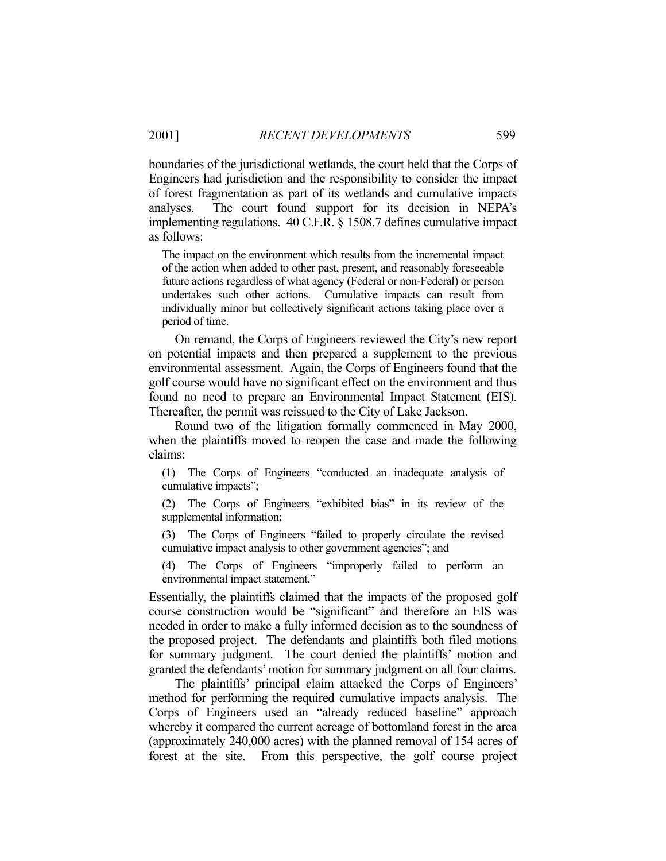boundaries of the jurisdictional wetlands, the court held that the Corps of Engineers had jurisdiction and the responsibility to consider the impact of forest fragmentation as part of its wetlands and cumulative impacts analyses. The court found support for its decision in NEPA's implementing regulations. 40 C.F.R. § 1508.7 defines cumulative impact as follows:

The impact on the environment which results from the incremental impact of the action when added to other past, present, and reasonably foreseeable future actions regardless of what agency (Federal or non-Federal) or person undertakes such other actions. Cumulative impacts can result from individually minor but collectively significant actions taking place over a period of time.

 On remand, the Corps of Engineers reviewed the City's new report on potential impacts and then prepared a supplement to the previous environmental assessment. Again, the Corps of Engineers found that the golf course would have no significant effect on the environment and thus found no need to prepare an Environmental Impact Statement (EIS). Thereafter, the permit was reissued to the City of Lake Jackson.

 Round two of the litigation formally commenced in May 2000, when the plaintiffs moved to reopen the case and made the following claims:

(1) The Corps of Engineers "conducted an inadequate analysis of cumulative impacts";

(2) The Corps of Engineers "exhibited bias" in its review of the supplemental information;

(3) The Corps of Engineers "failed to properly circulate the revised cumulative impact analysis to other government agencies"; and

(4) The Corps of Engineers "improperly failed to perform an environmental impact statement."

Essentially, the plaintiffs claimed that the impacts of the proposed golf course construction would be "significant" and therefore an EIS was needed in order to make a fully informed decision as to the soundness of the proposed project. The defendants and plaintiffs both filed motions for summary judgment. The court denied the plaintiffs' motion and granted the defendants' motion for summary judgment on all four claims.

 The plaintiffs' principal claim attacked the Corps of Engineers' method for performing the required cumulative impacts analysis. The Corps of Engineers used an "already reduced baseline" approach whereby it compared the current acreage of bottomland forest in the area (approximately 240,000 acres) with the planned removal of 154 acres of forest at the site. From this perspective, the golf course project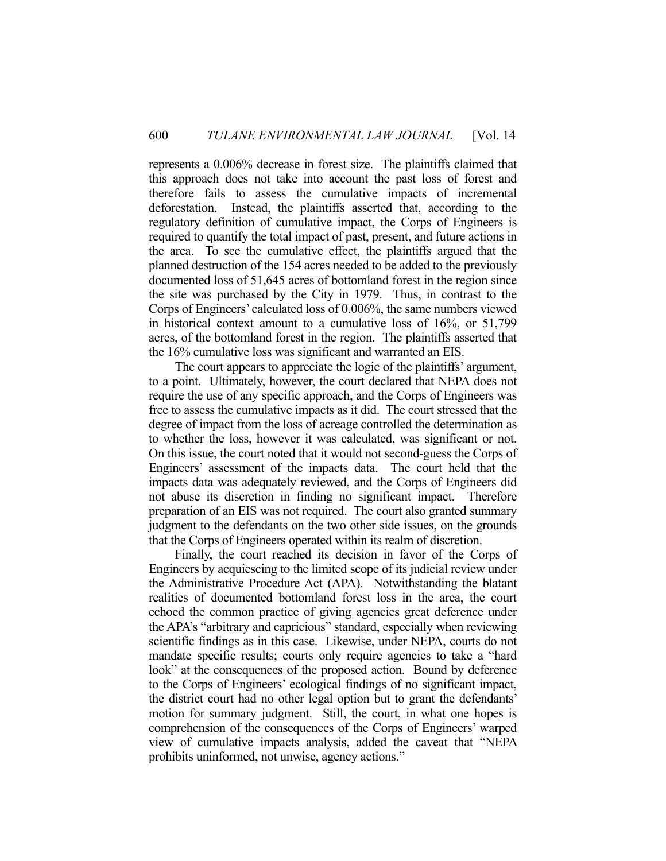represents a 0.006% decrease in forest size. The plaintiffs claimed that this approach does not take into account the past loss of forest and therefore fails to assess the cumulative impacts of incremental deforestation. Instead, the plaintiffs asserted that, according to the regulatory definition of cumulative impact, the Corps of Engineers is required to quantify the total impact of past, present, and future actions in the area. To see the cumulative effect, the plaintiffs argued that the planned destruction of the 154 acres needed to be added to the previously documented loss of 51,645 acres of bottomland forest in the region since the site was purchased by the City in 1979. Thus, in contrast to the Corps of Engineers' calculated loss of 0.006%, the same numbers viewed in historical context amount to a cumulative loss of 16%, or 51,799 acres, of the bottomland forest in the region. The plaintiffs asserted that the 16% cumulative loss was significant and warranted an EIS.

 The court appears to appreciate the logic of the plaintiffs' argument, to a point. Ultimately, however, the court declared that NEPA does not require the use of any specific approach, and the Corps of Engineers was free to assess the cumulative impacts as it did. The court stressed that the degree of impact from the loss of acreage controlled the determination as to whether the loss, however it was calculated, was significant or not. On this issue, the court noted that it would not second-guess the Corps of Engineers' assessment of the impacts data. The court held that the impacts data was adequately reviewed, and the Corps of Engineers did not abuse its discretion in finding no significant impact. Therefore preparation of an EIS was not required. The court also granted summary judgment to the defendants on the two other side issues, on the grounds that the Corps of Engineers operated within its realm of discretion.

 Finally, the court reached its decision in favor of the Corps of Engineers by acquiescing to the limited scope of its judicial review under the Administrative Procedure Act (APA). Notwithstanding the blatant realities of documented bottomland forest loss in the area, the court echoed the common practice of giving agencies great deference under the APA's "arbitrary and capricious" standard, especially when reviewing scientific findings as in this case. Likewise, under NEPA, courts do not mandate specific results; courts only require agencies to take a "hard look" at the consequences of the proposed action. Bound by deference to the Corps of Engineers' ecological findings of no significant impact, the district court had no other legal option but to grant the defendants' motion for summary judgment. Still, the court, in what one hopes is comprehension of the consequences of the Corps of Engineers' warped view of cumulative impacts analysis, added the caveat that "NEPA prohibits uninformed, not unwise, agency actions."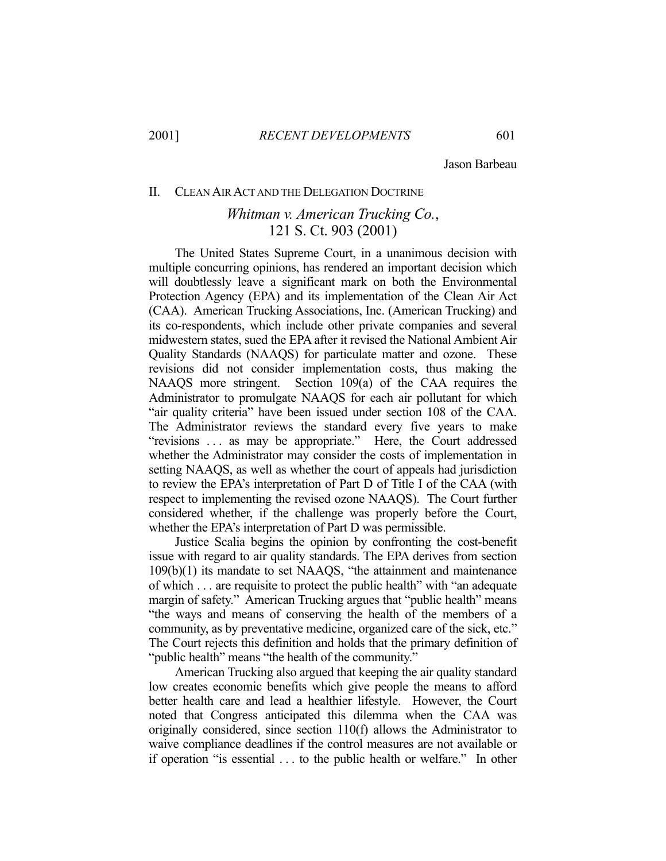Jason Barbeau

#### II. CLEAN AIR ACT AND THE DELEGATION DOCTRINE

## *Whitman v. American Trucking Co.*, 121 S. Ct. 903 (2001)

 The United States Supreme Court, in a unanimous decision with multiple concurring opinions, has rendered an important decision which will doubtlessly leave a significant mark on both the Environmental Protection Agency (EPA) and its implementation of the Clean Air Act (CAA). American Trucking Associations, Inc. (American Trucking) and its co-respondents, which include other private companies and several midwestern states, sued the EPA after it revised the National Ambient Air Quality Standards (NAAQS) for particulate matter and ozone. These revisions did not consider implementation costs, thus making the NAAQS more stringent. Section 109(a) of the CAA requires the Administrator to promulgate NAAQS for each air pollutant for which "air quality criteria" have been issued under section 108 of the CAA. The Administrator reviews the standard every five years to make "revisions ... as may be appropriate." Here, the Court addressed whether the Administrator may consider the costs of implementation in setting NAAQS, as well as whether the court of appeals had jurisdiction to review the EPA's interpretation of Part D of Title I of the CAA (with respect to implementing the revised ozone NAAQS). The Court further considered whether, if the challenge was properly before the Court, whether the EPA's interpretation of Part D was permissible.

 Justice Scalia begins the opinion by confronting the cost-benefit issue with regard to air quality standards. The EPA derives from section 109(b)(1) its mandate to set NAAQS, "the attainment and maintenance of which . . . are requisite to protect the public health" with "an adequate margin of safety." American Trucking argues that "public health" means "the ways and means of conserving the health of the members of a community, as by preventative medicine, organized care of the sick, etc." The Court rejects this definition and holds that the primary definition of "public health" means "the health of the community."

 American Trucking also argued that keeping the air quality standard low creates economic benefits which give people the means to afford better health care and lead a healthier lifestyle. However, the Court noted that Congress anticipated this dilemma when the CAA was originally considered, since section 110(f) allows the Administrator to waive compliance deadlines if the control measures are not available or if operation "is essential . . . to the public health or welfare." In other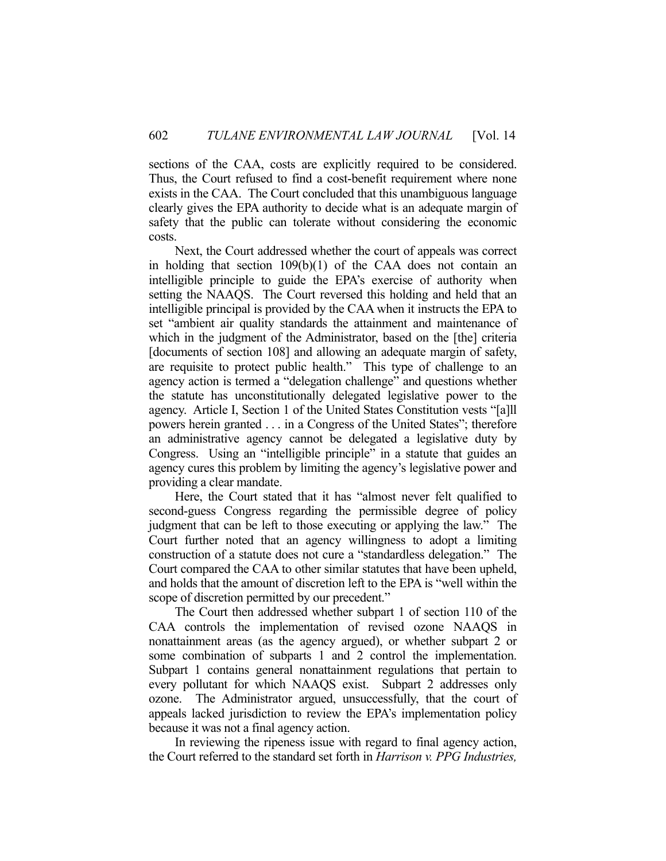sections of the CAA, costs are explicitly required to be considered. Thus, the Court refused to find a cost-benefit requirement where none exists in the CAA. The Court concluded that this unambiguous language clearly gives the EPA authority to decide what is an adequate margin of safety that the public can tolerate without considering the economic costs.

 Next, the Court addressed whether the court of appeals was correct in holding that section 109(b)(1) of the CAA does not contain an intelligible principle to guide the EPA's exercise of authority when setting the NAAQS. The Court reversed this holding and held that an intelligible principal is provided by the CAA when it instructs the EPA to set "ambient air quality standards the attainment and maintenance of which in the judgment of the Administrator, based on the [the] criteria [documents of section 108] and allowing an adequate margin of safety, are requisite to protect public health." This type of challenge to an agency action is termed a "delegation challenge" and questions whether the statute has unconstitutionally delegated legislative power to the agency. Article I, Section 1 of the United States Constitution vests "[a]ll powers herein granted . . . in a Congress of the United States"; therefore an administrative agency cannot be delegated a legislative duty by Congress. Using an "intelligible principle" in a statute that guides an agency cures this problem by limiting the agency's legislative power and providing a clear mandate.

 Here, the Court stated that it has "almost never felt qualified to second-guess Congress regarding the permissible degree of policy judgment that can be left to those executing or applying the law." The Court further noted that an agency willingness to adopt a limiting construction of a statute does not cure a "standardless delegation." The Court compared the CAA to other similar statutes that have been upheld, and holds that the amount of discretion left to the EPA is "well within the scope of discretion permitted by our precedent."

 The Court then addressed whether subpart 1 of section 110 of the CAA controls the implementation of revised ozone NAAQS in nonattainment areas (as the agency argued), or whether subpart 2 or some combination of subparts 1 and 2 control the implementation. Subpart 1 contains general nonattainment regulations that pertain to every pollutant for which NAAQS exist. Subpart 2 addresses only ozone. The Administrator argued, unsuccessfully, that the court of appeals lacked jurisdiction to review the EPA's implementation policy because it was not a final agency action.

 In reviewing the ripeness issue with regard to final agency action, the Court referred to the standard set forth in *Harrison v. PPG Industries,*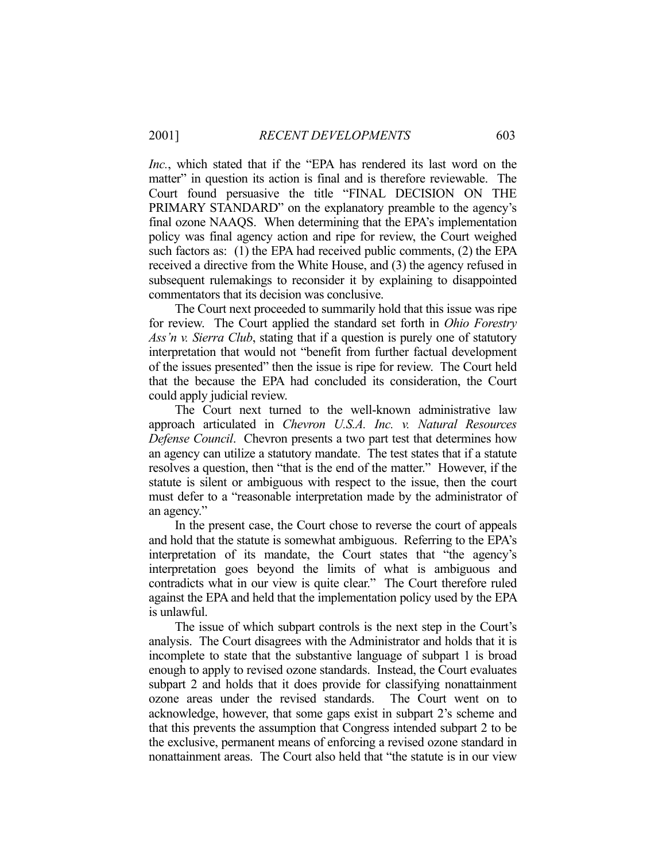*Inc.*, which stated that if the "EPA has rendered its last word on the matter" in question its action is final and is therefore reviewable. The Court found persuasive the title "FINAL DECISION ON THE PRIMARY STANDARD" on the explanatory preamble to the agency's final ozone NAAQS. When determining that the EPA's implementation policy was final agency action and ripe for review, the Court weighed such factors as: (1) the EPA had received public comments, (2) the EPA received a directive from the White House, and (3) the agency refused in subsequent rulemakings to reconsider it by explaining to disappointed commentators that its decision was conclusive.

 The Court next proceeded to summarily hold that this issue was ripe for review. The Court applied the standard set forth in *Ohio Forestry Ass'n v. Sierra Club*, stating that if a question is purely one of statutory interpretation that would not "benefit from further factual development of the issues presented" then the issue is ripe for review. The Court held that the because the EPA had concluded its consideration, the Court could apply judicial review.

 The Court next turned to the well-known administrative law approach articulated in *Chevron U.S.A. Inc. v. Natural Resources Defense Council*. Chevron presents a two part test that determines how an agency can utilize a statutory mandate. The test states that if a statute resolves a question, then "that is the end of the matter." However, if the statute is silent or ambiguous with respect to the issue, then the court must defer to a "reasonable interpretation made by the administrator of an agency."

 In the present case, the Court chose to reverse the court of appeals and hold that the statute is somewhat ambiguous. Referring to the EPA's interpretation of its mandate, the Court states that "the agency's interpretation goes beyond the limits of what is ambiguous and contradicts what in our view is quite clear." The Court therefore ruled against the EPA and held that the implementation policy used by the EPA is unlawful.

 The issue of which subpart controls is the next step in the Court's analysis. The Court disagrees with the Administrator and holds that it is incomplete to state that the substantive language of subpart 1 is broad enough to apply to revised ozone standards. Instead, the Court evaluates subpart 2 and holds that it does provide for classifying nonattainment ozone areas under the revised standards. The Court went on to acknowledge, however, that some gaps exist in subpart 2's scheme and that this prevents the assumption that Congress intended subpart 2 to be the exclusive, permanent means of enforcing a revised ozone standard in nonattainment areas. The Court also held that "the statute is in our view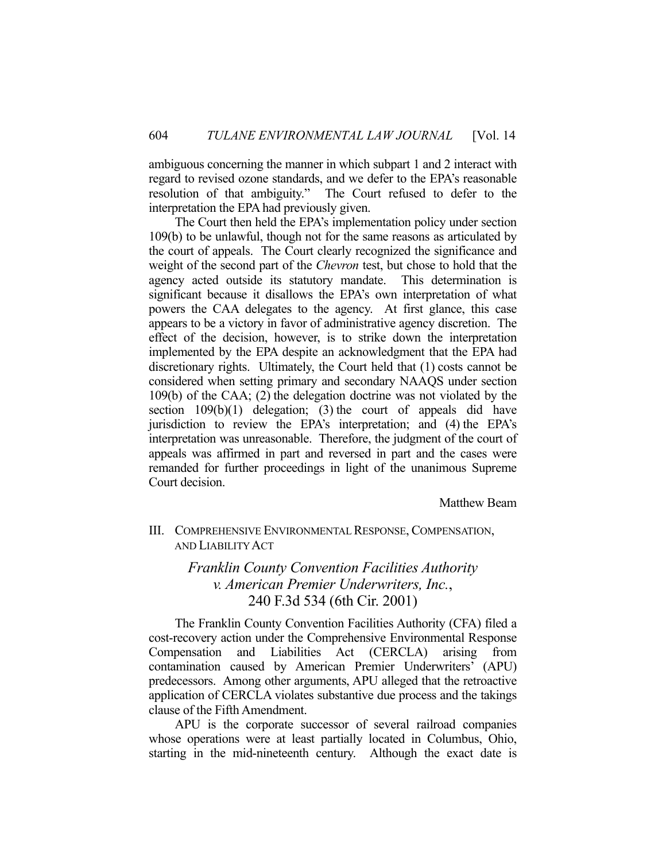ambiguous concerning the manner in which subpart 1 and 2 interact with regard to revised ozone standards, and we defer to the EPA's reasonable resolution of that ambiguity." The Court refused to defer to the interpretation the EPA had previously given.

 The Court then held the EPA's implementation policy under section 109(b) to be unlawful, though not for the same reasons as articulated by the court of appeals. The Court clearly recognized the significance and weight of the second part of the *Chevron* test, but chose to hold that the agency acted outside its statutory mandate. This determination is significant because it disallows the EPA's own interpretation of what powers the CAA delegates to the agency. At first glance, this case appears to be a victory in favor of administrative agency discretion. The effect of the decision, however, is to strike down the interpretation implemented by the EPA despite an acknowledgment that the EPA had discretionary rights. Ultimately, the Court held that (1) costs cannot be considered when setting primary and secondary NAAQS under section 109(b) of the CAA; (2) the delegation doctrine was not violated by the section  $109(b)(1)$  delegation; (3) the court of appeals did have jurisdiction to review the EPA's interpretation; and (4) the EPA's interpretation was unreasonable. Therefore, the judgment of the court of appeals was affirmed in part and reversed in part and the cases were remanded for further proceedings in light of the unanimous Supreme Court decision.

Matthew Beam

### III. COMPREHENSIVE ENVIRONMENTAL RESPONSE, COMPENSATION, AND LIABILITY ACT

## *Franklin County Convention Facilities Authority v. American Premier Underwriters, Inc.*, 240 F.3d 534 (6th Cir. 2001)

 The Franklin County Convention Facilities Authority (CFA) filed a cost-recovery action under the Comprehensive Environmental Response Compensation and Liabilities Act (CERCLA) arising from contamination caused by American Premier Underwriters' (APU) predecessors. Among other arguments, APU alleged that the retroactive application of CERCLA violates substantive due process and the takings clause of the Fifth Amendment.

 APU is the corporate successor of several railroad companies whose operations were at least partially located in Columbus, Ohio, starting in the mid-nineteenth century. Although the exact date is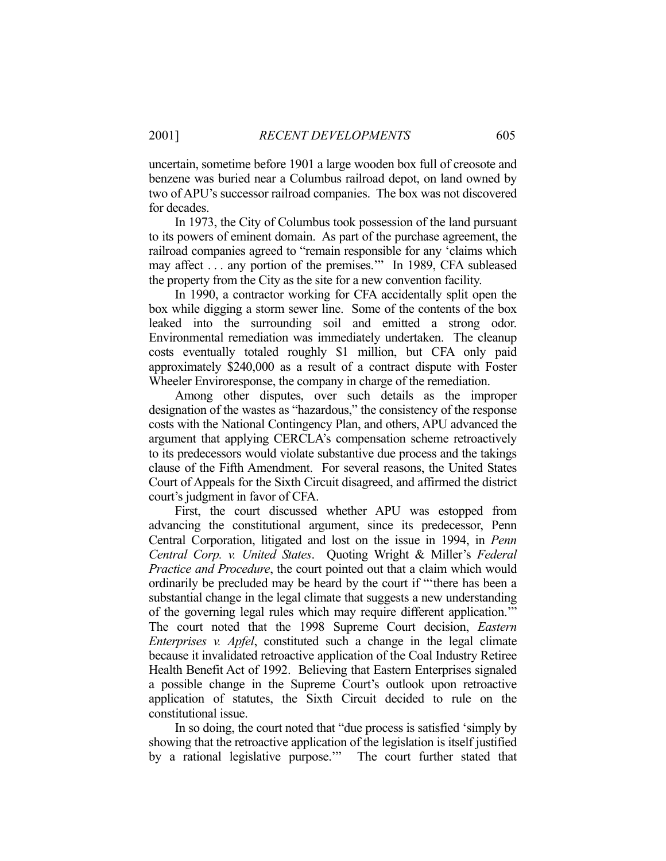uncertain, sometime before 1901 a large wooden box full of creosote and benzene was buried near a Columbus railroad depot, on land owned by two of APU's successor railroad companies. The box was not discovered for decades.

 In 1973, the City of Columbus took possession of the land pursuant to its powers of eminent domain. As part of the purchase agreement, the railroad companies agreed to "remain responsible for any 'claims which may affect . . . any portion of the premises.'" In 1989, CFA subleased the property from the City as the site for a new convention facility.

 In 1990, a contractor working for CFA accidentally split open the box while digging a storm sewer line. Some of the contents of the box leaked into the surrounding soil and emitted a strong odor. Environmental remediation was immediately undertaken. The cleanup costs eventually totaled roughly \$1 million, but CFA only paid approximately \$240,000 as a result of a contract dispute with Foster Wheeler Enviroresponse, the company in charge of the remediation.

 Among other disputes, over such details as the improper designation of the wastes as "hazardous," the consistency of the response costs with the National Contingency Plan, and others, APU advanced the argument that applying CERCLA's compensation scheme retroactively to its predecessors would violate substantive due process and the takings clause of the Fifth Amendment. For several reasons, the United States Court of Appeals for the Sixth Circuit disagreed, and affirmed the district court's judgment in favor of CFA.

 First, the court discussed whether APU was estopped from advancing the constitutional argument, since its predecessor, Penn Central Corporation, litigated and lost on the issue in 1994, in *Penn Central Corp. v. United States*. Quoting Wright & Miller's *Federal Practice and Procedure*, the court pointed out that a claim which would ordinarily be precluded may be heard by the court if "'there has been a substantial change in the legal climate that suggests a new understanding of the governing legal rules which may require different application.'" The court noted that the 1998 Supreme Court decision, *Eastern Enterprises v. Apfel*, constituted such a change in the legal climate because it invalidated retroactive application of the Coal Industry Retiree Health Benefit Act of 1992. Believing that Eastern Enterprises signaled a possible change in the Supreme Court's outlook upon retroactive application of statutes, the Sixth Circuit decided to rule on the constitutional issue.

 In so doing, the court noted that "due process is satisfied 'simply by showing that the retroactive application of the legislation is itself justified by a rational legislative purpose.'" The court further stated that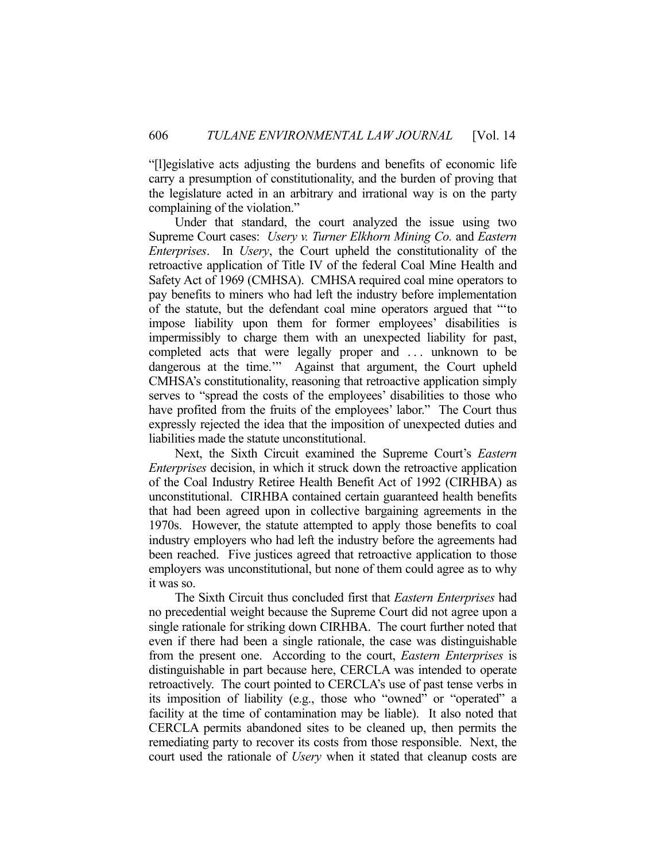"[l]egislative acts adjusting the burdens and benefits of economic life carry a presumption of constitutionality, and the burden of proving that the legislature acted in an arbitrary and irrational way is on the party complaining of the violation."

 Under that standard, the court analyzed the issue using two Supreme Court cases: *Usery v. Turner Elkhorn Mining Co.* and *Eastern Enterprises*. In *Usery*, the Court upheld the constitutionality of the retroactive application of Title IV of the federal Coal Mine Health and Safety Act of 1969 (CMHSA). CMHSA required coal mine operators to pay benefits to miners who had left the industry before implementation of the statute, but the defendant coal mine operators argued that "'to impose liability upon them for former employees' disabilities is impermissibly to charge them with an unexpected liability for past, completed acts that were legally proper and ... unknown to be dangerous at the time."" Against that argument, the Court upheld CMHSA's constitutionality, reasoning that retroactive application simply serves to "spread the costs of the employees' disabilities to those who have profited from the fruits of the employees' labor." The Court thus expressly rejected the idea that the imposition of unexpected duties and liabilities made the statute unconstitutional.

 Next, the Sixth Circuit examined the Supreme Court's *Eastern Enterprises* decision, in which it struck down the retroactive application of the Coal Industry Retiree Health Benefit Act of 1992 (CIRHBA) as unconstitutional. CIRHBA contained certain guaranteed health benefits that had been agreed upon in collective bargaining agreements in the 1970s. However, the statute attempted to apply those benefits to coal industry employers who had left the industry before the agreements had been reached. Five justices agreed that retroactive application to those employers was unconstitutional, but none of them could agree as to why it was so.

 The Sixth Circuit thus concluded first that *Eastern Enterprises* had no precedential weight because the Supreme Court did not agree upon a single rationale for striking down CIRHBA. The court further noted that even if there had been a single rationale, the case was distinguishable from the present one. According to the court, *Eastern Enterprises* is distinguishable in part because here, CERCLA was intended to operate retroactively. The court pointed to CERCLA's use of past tense verbs in its imposition of liability (e.g., those who "owned" or "operated" a facility at the time of contamination may be liable). It also noted that CERCLA permits abandoned sites to be cleaned up, then permits the remediating party to recover its costs from those responsible. Next, the court used the rationale of *Usery* when it stated that cleanup costs are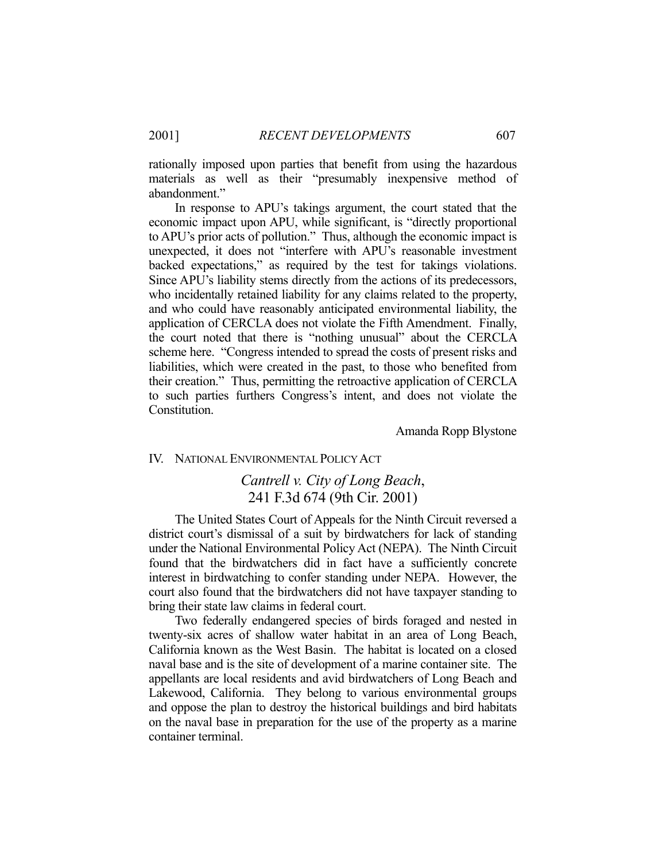rationally imposed upon parties that benefit from using the hazardous materials as well as their "presumably inexpensive method of abandonment."

 In response to APU's takings argument, the court stated that the economic impact upon APU, while significant, is "directly proportional to APU's prior acts of pollution." Thus, although the economic impact is unexpected, it does not "interfere with APU's reasonable investment backed expectations," as required by the test for takings violations. Since APU's liability stems directly from the actions of its predecessors, who incidentally retained liability for any claims related to the property, and who could have reasonably anticipated environmental liability, the application of CERCLA does not violate the Fifth Amendment. Finally, the court noted that there is "nothing unusual" about the CERCLA scheme here. "Congress intended to spread the costs of present risks and liabilities, which were created in the past, to those who benefited from their creation." Thus, permitting the retroactive application of CERCLA to such parties furthers Congress's intent, and does not violate the Constitution.

Amanda Ropp Blystone

#### IV. NATIONAL ENVIRONMENTAL POLICY ACT

### *Cantrell v. City of Long Beach*, 241 F.3d 674 (9th Cir. 2001)

 The United States Court of Appeals for the Ninth Circuit reversed a district court's dismissal of a suit by birdwatchers for lack of standing under the National Environmental Policy Act (NEPA). The Ninth Circuit found that the birdwatchers did in fact have a sufficiently concrete interest in birdwatching to confer standing under NEPA. However, the court also found that the birdwatchers did not have taxpayer standing to bring their state law claims in federal court.

 Two federally endangered species of birds foraged and nested in twenty-six acres of shallow water habitat in an area of Long Beach, California known as the West Basin. The habitat is located on a closed naval base and is the site of development of a marine container site. The appellants are local residents and avid birdwatchers of Long Beach and Lakewood, California. They belong to various environmental groups and oppose the plan to destroy the historical buildings and bird habitats on the naval base in preparation for the use of the property as a marine container terminal.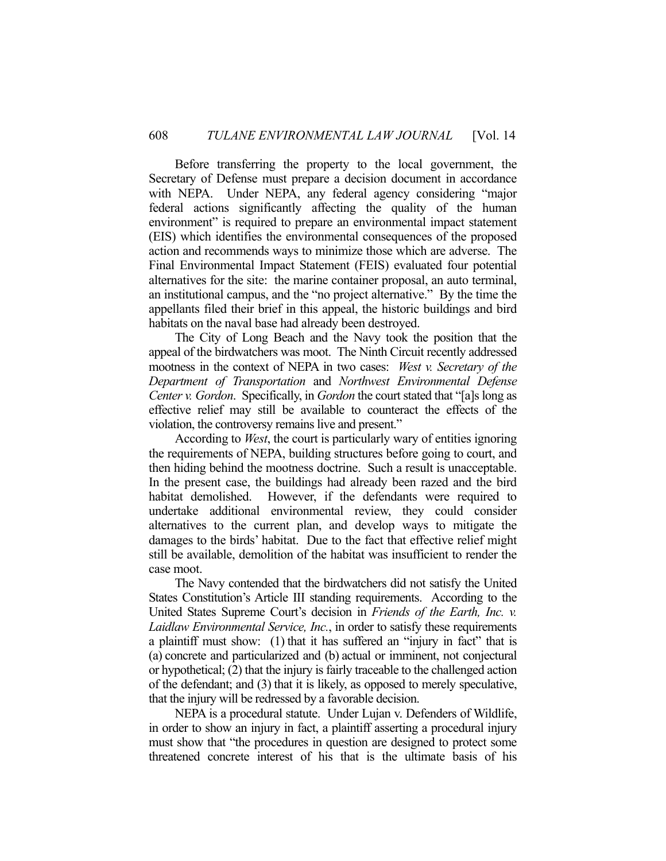Before transferring the property to the local government, the Secretary of Defense must prepare a decision document in accordance with NEPA. Under NEPA, any federal agency considering "major federal actions significantly affecting the quality of the human environment" is required to prepare an environmental impact statement (EIS) which identifies the environmental consequences of the proposed action and recommends ways to minimize those which are adverse. The Final Environmental Impact Statement (FEIS) evaluated four potential alternatives for the site: the marine container proposal, an auto terminal, an institutional campus, and the "no project alternative." By the time the appellants filed their brief in this appeal, the historic buildings and bird habitats on the naval base had already been destroyed.

 The City of Long Beach and the Navy took the position that the appeal of the birdwatchers was moot. The Ninth Circuit recently addressed mootness in the context of NEPA in two cases: *West v. Secretary of the Department of Transportation* and *Northwest Environmental Defense Center v. Gordon*. Specifically, in *Gordon* the court stated that "[a]s long as effective relief may still be available to counteract the effects of the violation, the controversy remains live and present."

 According to *West*, the court is particularly wary of entities ignoring the requirements of NEPA, building structures before going to court, and then hiding behind the mootness doctrine. Such a result is unacceptable. In the present case, the buildings had already been razed and the bird habitat demolished. However, if the defendants were required to undertake additional environmental review, they could consider alternatives to the current plan, and develop ways to mitigate the damages to the birds' habitat. Due to the fact that effective relief might still be available, demolition of the habitat was insufficient to render the case moot.

 The Navy contended that the birdwatchers did not satisfy the United States Constitution's Article III standing requirements. According to the United States Supreme Court's decision in *Friends of the Earth, Inc. v. Laidlaw Environmental Service, Inc.*, in order to satisfy these requirements a plaintiff must show: (1) that it has suffered an "injury in fact" that is (a) concrete and particularized and (b) actual or imminent, not conjectural or hypothetical; (2) that the injury is fairly traceable to the challenged action of the defendant; and (3) that it is likely, as opposed to merely speculative, that the injury will be redressed by a favorable decision.

 NEPA is a procedural statute. Under Lujan v. Defenders of Wildlife, in order to show an injury in fact, a plaintiff asserting a procedural injury must show that "the procedures in question are designed to protect some threatened concrete interest of his that is the ultimate basis of his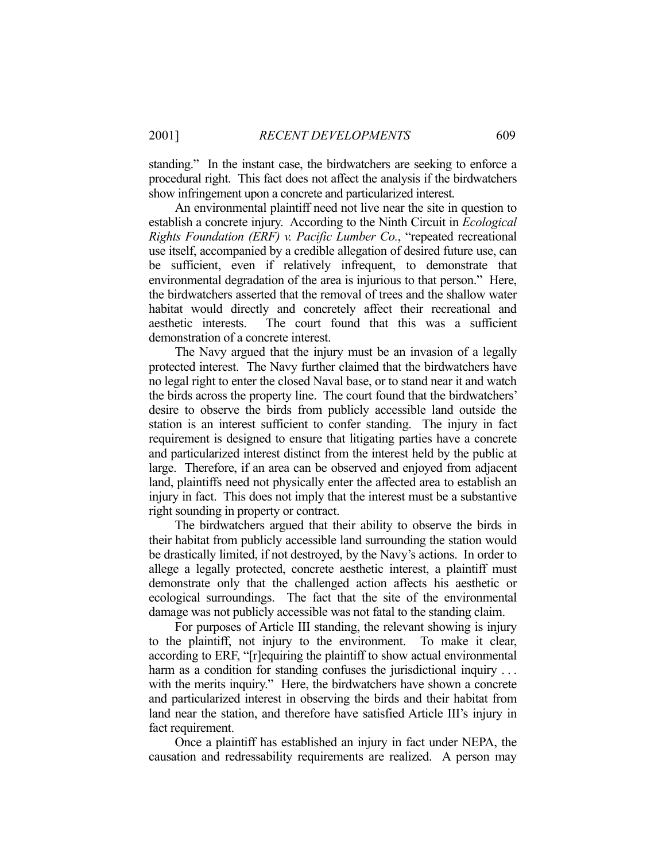standing." In the instant case, the birdwatchers are seeking to enforce a procedural right. This fact does not affect the analysis if the birdwatchers show infringement upon a concrete and particularized interest.

 An environmental plaintiff need not live near the site in question to establish a concrete injury. According to the Ninth Circuit in *Ecological Rights Foundation (ERF) v. Pacific Lumber Co.*, "repeated recreational use itself, accompanied by a credible allegation of desired future use, can be sufficient, even if relatively infrequent, to demonstrate that environmental degradation of the area is injurious to that person." Here, the birdwatchers asserted that the removal of trees and the shallow water habitat would directly and concretely affect their recreational and aesthetic interests. The court found that this was a sufficient demonstration of a concrete interest.

 The Navy argued that the injury must be an invasion of a legally protected interest. The Navy further claimed that the birdwatchers have no legal right to enter the closed Naval base, or to stand near it and watch the birds across the property line. The court found that the birdwatchers' desire to observe the birds from publicly accessible land outside the station is an interest sufficient to confer standing. The injury in fact requirement is designed to ensure that litigating parties have a concrete and particularized interest distinct from the interest held by the public at large. Therefore, if an area can be observed and enjoyed from adjacent land, plaintiffs need not physically enter the affected area to establish an injury in fact. This does not imply that the interest must be a substantive right sounding in property or contract.

 The birdwatchers argued that their ability to observe the birds in their habitat from publicly accessible land surrounding the station would be drastically limited, if not destroyed, by the Navy's actions. In order to allege a legally protected, concrete aesthetic interest, a plaintiff must demonstrate only that the challenged action affects his aesthetic or ecological surroundings. The fact that the site of the environmental damage was not publicly accessible was not fatal to the standing claim.

 For purposes of Article III standing, the relevant showing is injury to the plaintiff, not injury to the environment. To make it clear, according to ERF, "[r]equiring the plaintiff to show actual environmental harm as a condition for standing confuses the jurisdictional inquiry ... with the merits inquiry." Here, the birdwatchers have shown a concrete and particularized interest in observing the birds and their habitat from land near the station, and therefore have satisfied Article III's injury in fact requirement.

 Once a plaintiff has established an injury in fact under NEPA, the causation and redressability requirements are realized. A person may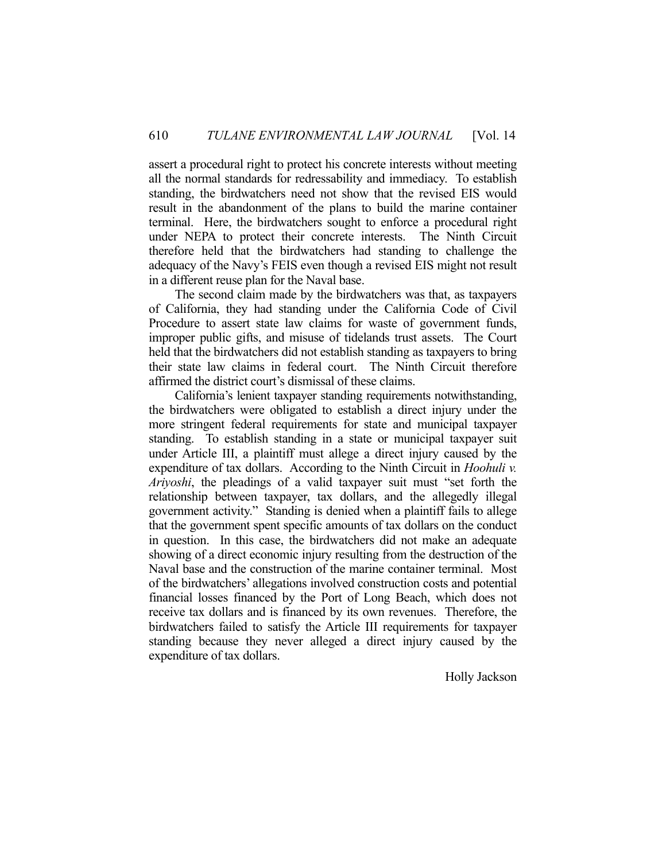assert a procedural right to protect his concrete interests without meeting all the normal standards for redressability and immediacy. To establish standing, the birdwatchers need not show that the revised EIS would result in the abandonment of the plans to build the marine container terminal. Here, the birdwatchers sought to enforce a procedural right under NEPA to protect their concrete interests. The Ninth Circuit therefore held that the birdwatchers had standing to challenge the adequacy of the Navy's FEIS even though a revised EIS might not result in a different reuse plan for the Naval base.

 The second claim made by the birdwatchers was that, as taxpayers of California, they had standing under the California Code of Civil Procedure to assert state law claims for waste of government funds, improper public gifts, and misuse of tidelands trust assets. The Court held that the birdwatchers did not establish standing as taxpayers to bring their state law claims in federal court. The Ninth Circuit therefore affirmed the district court's dismissal of these claims.

 California's lenient taxpayer standing requirements notwithstanding, the birdwatchers were obligated to establish a direct injury under the more stringent federal requirements for state and municipal taxpayer standing. To establish standing in a state or municipal taxpayer suit under Article III, a plaintiff must allege a direct injury caused by the expenditure of tax dollars. According to the Ninth Circuit in *Hoohuli v. Ariyoshi*, the pleadings of a valid taxpayer suit must "set forth the relationship between taxpayer, tax dollars, and the allegedly illegal government activity." Standing is denied when a plaintiff fails to allege that the government spent specific amounts of tax dollars on the conduct in question. In this case, the birdwatchers did not make an adequate showing of a direct economic injury resulting from the destruction of the Naval base and the construction of the marine container terminal. Most of the birdwatchers' allegations involved construction costs and potential financial losses financed by the Port of Long Beach, which does not receive tax dollars and is financed by its own revenues. Therefore, the birdwatchers failed to satisfy the Article III requirements for taxpayer standing because they never alleged a direct injury caused by the expenditure of tax dollars.

Holly Jackson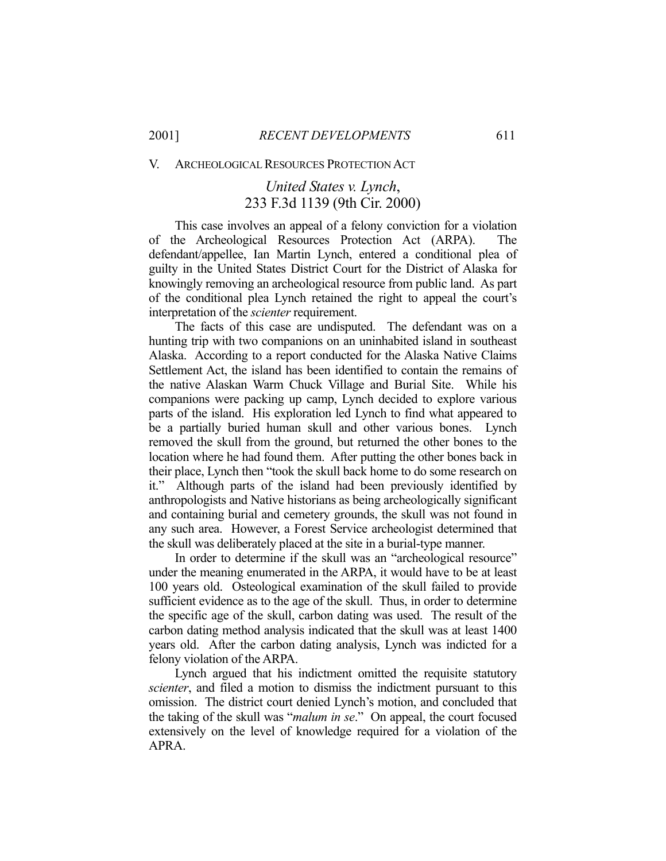V. ARCHEOLOGICAL RESOURCES PROTECTION ACT

## *United States v. Lynch*, 233 F.3d 1139 (9th Cir. 2000)

 This case involves an appeal of a felony conviction for a violation of the Archeological Resources Protection Act (ARPA). The defendant/appellee, Ian Martin Lynch, entered a conditional plea of guilty in the United States District Court for the District of Alaska for knowingly removing an archeological resource from public land. As part of the conditional plea Lynch retained the right to appeal the court's interpretation of the *scienter* requirement.

 The facts of this case are undisputed. The defendant was on a hunting trip with two companions on an uninhabited island in southeast Alaska. According to a report conducted for the Alaska Native Claims Settlement Act, the island has been identified to contain the remains of the native Alaskan Warm Chuck Village and Burial Site. While his companions were packing up camp, Lynch decided to explore various parts of the island. His exploration led Lynch to find what appeared to be a partially buried human skull and other various bones. Lynch removed the skull from the ground, but returned the other bones to the location where he had found them. After putting the other bones back in their place, Lynch then "took the skull back home to do some research on it." Although parts of the island had been previously identified by anthropologists and Native historians as being archeologically significant and containing burial and cemetery grounds, the skull was not found in any such area. However, a Forest Service archeologist determined that the skull was deliberately placed at the site in a burial-type manner.

 In order to determine if the skull was an "archeological resource" under the meaning enumerated in the ARPA, it would have to be at least 100 years old. Osteological examination of the skull failed to provide sufficient evidence as to the age of the skull. Thus, in order to determine the specific age of the skull, carbon dating was used. The result of the carbon dating method analysis indicated that the skull was at least 1400 years old. After the carbon dating analysis, Lynch was indicted for a felony violation of the ARPA.

 Lynch argued that his indictment omitted the requisite statutory *scienter*, and filed a motion to dismiss the indictment pursuant to this omission. The district court denied Lynch's motion, and concluded that the taking of the skull was "*malum in se*." On appeal, the court focused extensively on the level of knowledge required for a violation of the APRA.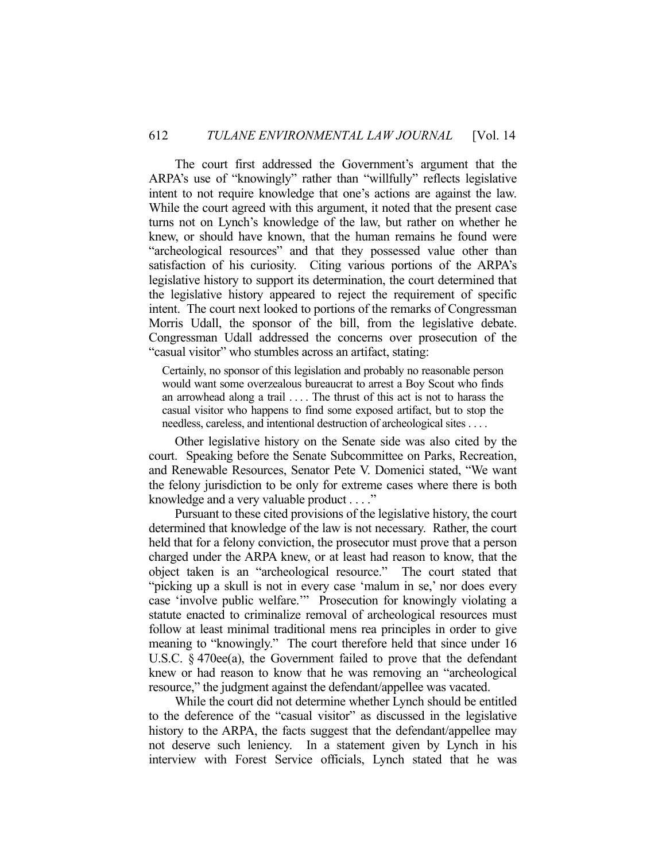The court first addressed the Government's argument that the ARPA's use of "knowingly" rather than "willfully" reflects legislative intent to not require knowledge that one's actions are against the law. While the court agreed with this argument, it noted that the present case turns not on Lynch's knowledge of the law, but rather on whether he knew, or should have known, that the human remains he found were "archeological resources" and that they possessed value other than satisfaction of his curiosity. Citing various portions of the ARPA's legislative history to support its determination, the court determined that the legislative history appeared to reject the requirement of specific intent. The court next looked to portions of the remarks of Congressman Morris Udall, the sponsor of the bill, from the legislative debate. Congressman Udall addressed the concerns over prosecution of the "casual visitor" who stumbles across an artifact, stating:

Certainly, no sponsor of this legislation and probably no reasonable person would want some overzealous bureaucrat to arrest a Boy Scout who finds an arrowhead along a trail . . . . The thrust of this act is not to harass the casual visitor who happens to find some exposed artifact, but to stop the needless, careless, and intentional destruction of archeological sites . . . .

 Other legislative history on the Senate side was also cited by the court. Speaking before the Senate Subcommittee on Parks, Recreation, and Renewable Resources, Senator Pete V. Domenici stated, "We want the felony jurisdiction to be only for extreme cases where there is both knowledge and a very valuable product . . . ."

 Pursuant to these cited provisions of the legislative history, the court determined that knowledge of the law is not necessary. Rather, the court held that for a felony conviction, the prosecutor must prove that a person charged under the ARPA knew, or at least had reason to know, that the object taken is an "archeological resource." The court stated that "picking up a skull is not in every case 'malum in se,' nor does every case 'involve public welfare.'" Prosecution for knowingly violating a statute enacted to criminalize removal of archeological resources must follow at least minimal traditional mens rea principles in order to give meaning to "knowingly." The court therefore held that since under 16 U.S.C. § 470ee(a), the Government failed to prove that the defendant knew or had reason to know that he was removing an "archeological resource," the judgment against the defendant/appellee was vacated.

 While the court did not determine whether Lynch should be entitled to the deference of the "casual visitor" as discussed in the legislative history to the ARPA, the facts suggest that the defendant/appellee may not deserve such leniency. In a statement given by Lynch in his interview with Forest Service officials, Lynch stated that he was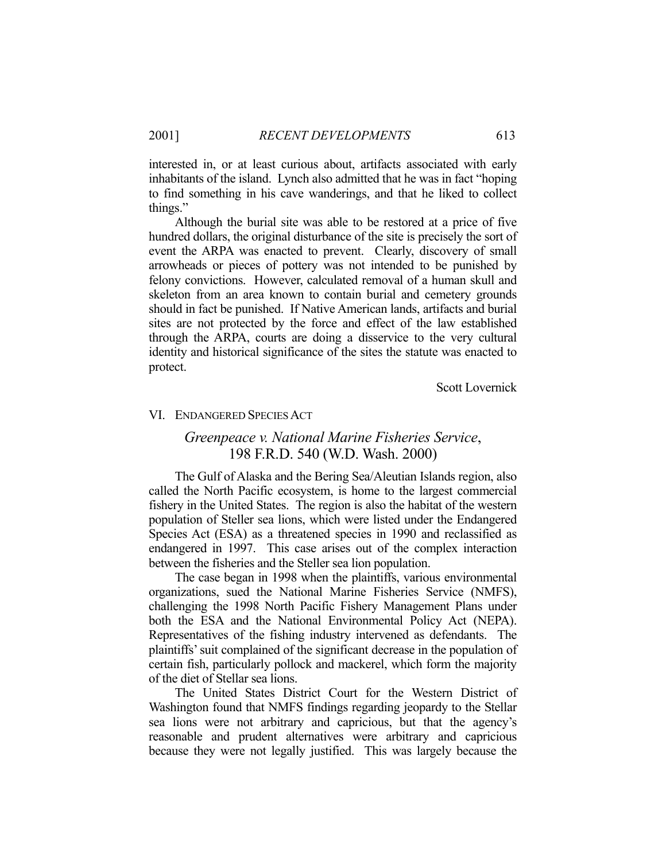interested in, or at least curious about, artifacts associated with early inhabitants of the island. Lynch also admitted that he was in fact "hoping to find something in his cave wanderings, and that he liked to collect things."

 Although the burial site was able to be restored at a price of five hundred dollars, the original disturbance of the site is precisely the sort of event the ARPA was enacted to prevent. Clearly, discovery of small arrowheads or pieces of pottery was not intended to be punished by felony convictions. However, calculated removal of a human skull and skeleton from an area known to contain burial and cemetery grounds should in fact be punished. If Native American lands, artifacts and burial sites are not protected by the force and effect of the law established through the ARPA, courts are doing a disservice to the very cultural identity and historical significance of the sites the statute was enacted to protect.

Scott Lovernick

#### VI. ENDANGERED SPECIES ACT

## *Greenpeace v. National Marine Fisheries Service*, 198 F.R.D. 540 (W.D. Wash. 2000)

 The Gulf of Alaska and the Bering Sea/Aleutian Islands region, also called the North Pacific ecosystem, is home to the largest commercial fishery in the United States. The region is also the habitat of the western population of Steller sea lions, which were listed under the Endangered Species Act (ESA) as a threatened species in 1990 and reclassified as endangered in 1997. This case arises out of the complex interaction between the fisheries and the Steller sea lion population.

 The case began in 1998 when the plaintiffs, various environmental organizations, sued the National Marine Fisheries Service (NMFS), challenging the 1998 North Pacific Fishery Management Plans under both the ESA and the National Environmental Policy Act (NEPA). Representatives of the fishing industry intervened as defendants. The plaintiffs' suit complained of the significant decrease in the population of certain fish, particularly pollock and mackerel, which form the majority of the diet of Stellar sea lions.

 The United States District Court for the Western District of Washington found that NMFS findings regarding jeopardy to the Stellar sea lions were not arbitrary and capricious, but that the agency's reasonable and prudent alternatives were arbitrary and capricious because they were not legally justified. This was largely because the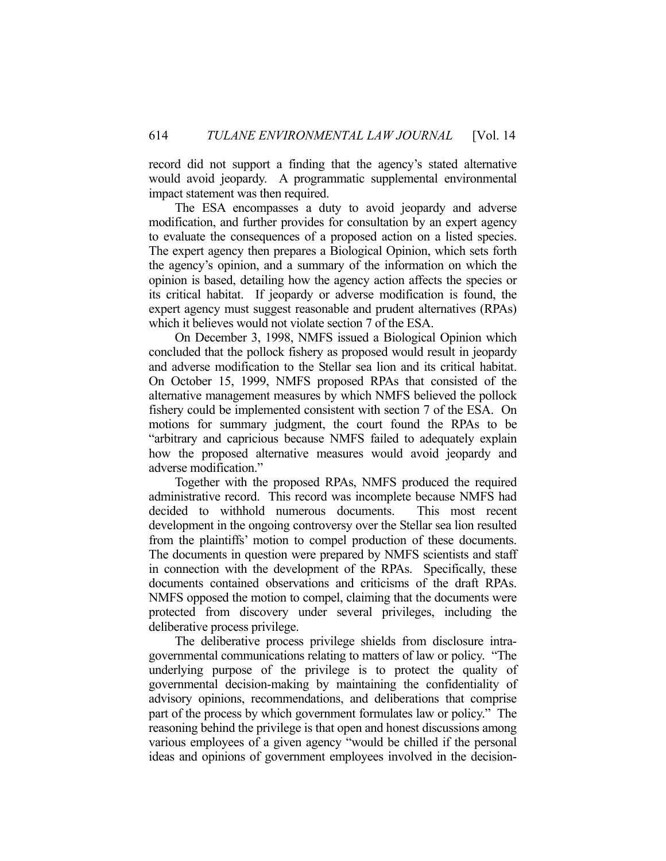record did not support a finding that the agency's stated alternative would avoid jeopardy. A programmatic supplemental environmental impact statement was then required.

 The ESA encompasses a duty to avoid jeopardy and adverse modification, and further provides for consultation by an expert agency to evaluate the consequences of a proposed action on a listed species. The expert agency then prepares a Biological Opinion, which sets forth the agency's opinion, and a summary of the information on which the opinion is based, detailing how the agency action affects the species or its critical habitat. If jeopardy or adverse modification is found, the expert agency must suggest reasonable and prudent alternatives (RPAs) which it believes would not violate section 7 of the ESA.

 On December 3, 1998, NMFS issued a Biological Opinion which concluded that the pollock fishery as proposed would result in jeopardy and adverse modification to the Stellar sea lion and its critical habitat. On October 15, 1999, NMFS proposed RPAs that consisted of the alternative management measures by which NMFS believed the pollock fishery could be implemented consistent with section 7 of the ESA. On motions for summary judgment, the court found the RPAs to be "arbitrary and capricious because NMFS failed to adequately explain how the proposed alternative measures would avoid jeopardy and adverse modification."

 Together with the proposed RPAs, NMFS produced the required administrative record. This record was incomplete because NMFS had decided to withhold numerous documents. This most recent development in the ongoing controversy over the Stellar sea lion resulted from the plaintiffs' motion to compel production of these documents. The documents in question were prepared by NMFS scientists and staff in connection with the development of the RPAs. Specifically, these documents contained observations and criticisms of the draft RPAs. NMFS opposed the motion to compel, claiming that the documents were protected from discovery under several privileges, including the deliberative process privilege.

 The deliberative process privilege shields from disclosure intragovernmental communications relating to matters of law or policy. "The underlying purpose of the privilege is to protect the quality of governmental decision-making by maintaining the confidentiality of advisory opinions, recommendations, and deliberations that comprise part of the process by which government formulates law or policy." The reasoning behind the privilege is that open and honest discussions among various employees of a given agency "would be chilled if the personal ideas and opinions of government employees involved in the decision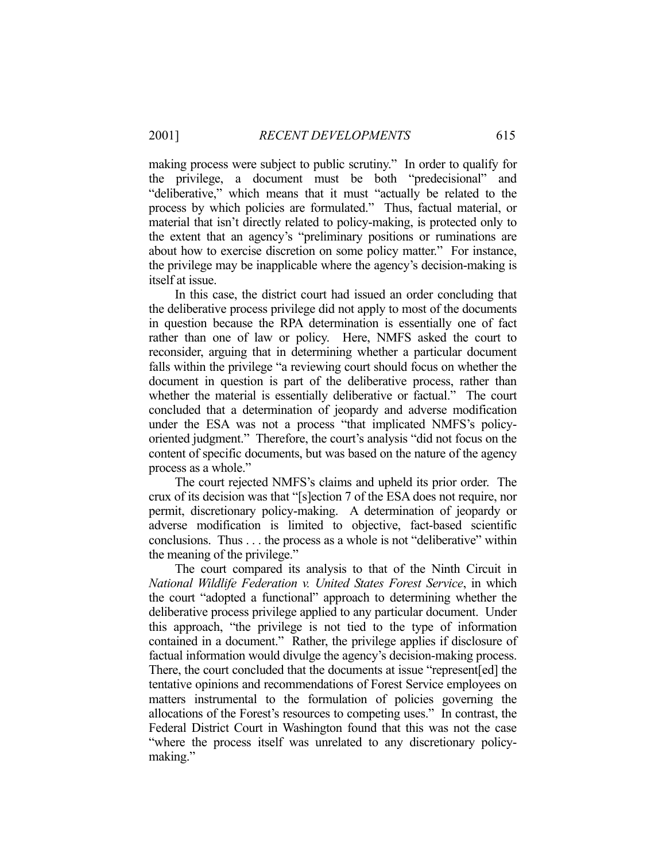making process were subject to public scrutiny." In order to qualify for the privilege, a document must be both "predecisional" and "deliberative," which means that it must "actually be related to the process by which policies are formulated." Thus, factual material, or material that isn't directly related to policy-making, is protected only to the extent that an agency's "preliminary positions or ruminations are about how to exercise discretion on some policy matter." For instance, the privilege may be inapplicable where the agency's decision-making is itself at issue.

 In this case, the district court had issued an order concluding that the deliberative process privilege did not apply to most of the documents in question because the RPA determination is essentially one of fact rather than one of law or policy. Here, NMFS asked the court to reconsider, arguing that in determining whether a particular document falls within the privilege "a reviewing court should focus on whether the document in question is part of the deliberative process, rather than whether the material is essentially deliberative or factual." The court concluded that a determination of jeopardy and adverse modification under the ESA was not a process "that implicated NMFS's policyoriented judgment." Therefore, the court's analysis "did not focus on the content of specific documents, but was based on the nature of the agency process as a whole."

 The court rejected NMFS's claims and upheld its prior order. The crux of its decision was that "[s]ection 7 of the ESA does not require, nor permit, discretionary policy-making. A determination of jeopardy or adverse modification is limited to objective, fact-based scientific conclusions. Thus . . . the process as a whole is not "deliberative" within the meaning of the privilege."

 The court compared its analysis to that of the Ninth Circuit in *National Wildlife Federation v. United States Forest Service*, in which the court "adopted a functional" approach to determining whether the deliberative process privilege applied to any particular document. Under this approach, "the privilege is not tied to the type of information contained in a document." Rather, the privilege applies if disclosure of factual information would divulge the agency's decision-making process. There, the court concluded that the documents at issue "represent[ed] the tentative opinions and recommendations of Forest Service employees on matters instrumental to the formulation of policies governing the allocations of the Forest's resources to competing uses." In contrast, the Federal District Court in Washington found that this was not the case "where the process itself was unrelated to any discretionary policymaking."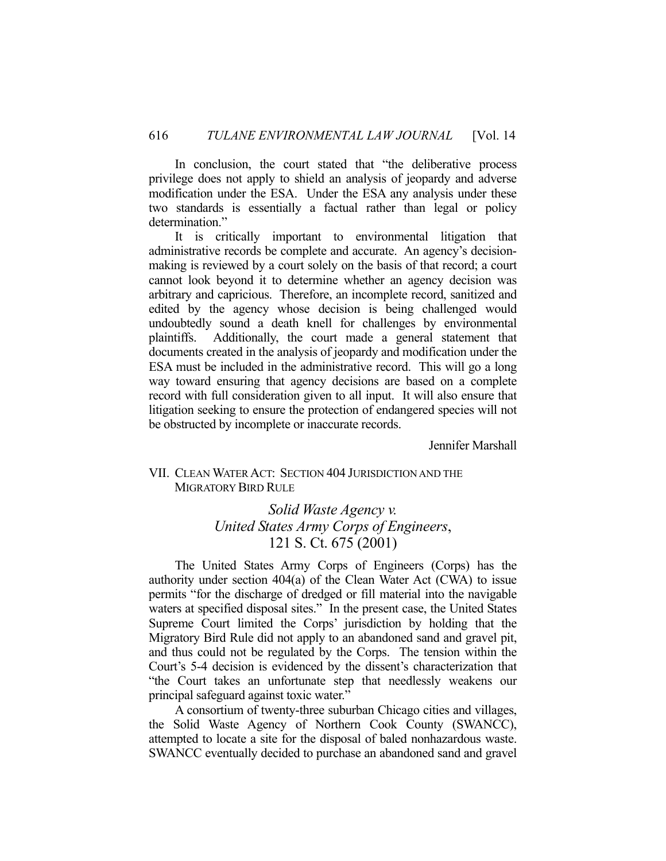In conclusion, the court stated that "the deliberative process privilege does not apply to shield an analysis of jeopardy and adverse modification under the ESA. Under the ESA any analysis under these two standards is essentially a factual rather than legal or policy determination."

 It is critically important to environmental litigation that administrative records be complete and accurate. An agency's decisionmaking is reviewed by a court solely on the basis of that record; a court cannot look beyond it to determine whether an agency decision was arbitrary and capricious. Therefore, an incomplete record, sanitized and edited by the agency whose decision is being challenged would undoubtedly sound a death knell for challenges by environmental plaintiffs. Additionally, the court made a general statement that documents created in the analysis of jeopardy and modification under the ESA must be included in the administrative record. This will go a long way toward ensuring that agency decisions are based on a complete record with full consideration given to all input. It will also ensure that litigation seeking to ensure the protection of endangered species will not be obstructed by incomplete or inaccurate records.

Jennifer Marshall

### VII. CLEAN WATER ACT: SECTION 404 JURISDICTION AND THE MIGRATORY BIRD RULE

## *Solid Waste Agency v. United States Army Corps of Engineers*, 121 S. Ct. 675 (2001)

 The United States Army Corps of Engineers (Corps) has the authority under section 404(a) of the Clean Water Act (CWA) to issue permits "for the discharge of dredged or fill material into the navigable waters at specified disposal sites." In the present case, the United States Supreme Court limited the Corps' jurisdiction by holding that the Migratory Bird Rule did not apply to an abandoned sand and gravel pit, and thus could not be regulated by the Corps. The tension within the Court's 5-4 decision is evidenced by the dissent's characterization that "the Court takes an unfortunate step that needlessly weakens our principal safeguard against toxic water."

 A consortium of twenty-three suburban Chicago cities and villages, the Solid Waste Agency of Northern Cook County (SWANCC), attempted to locate a site for the disposal of baled nonhazardous waste. SWANCC eventually decided to purchase an abandoned sand and gravel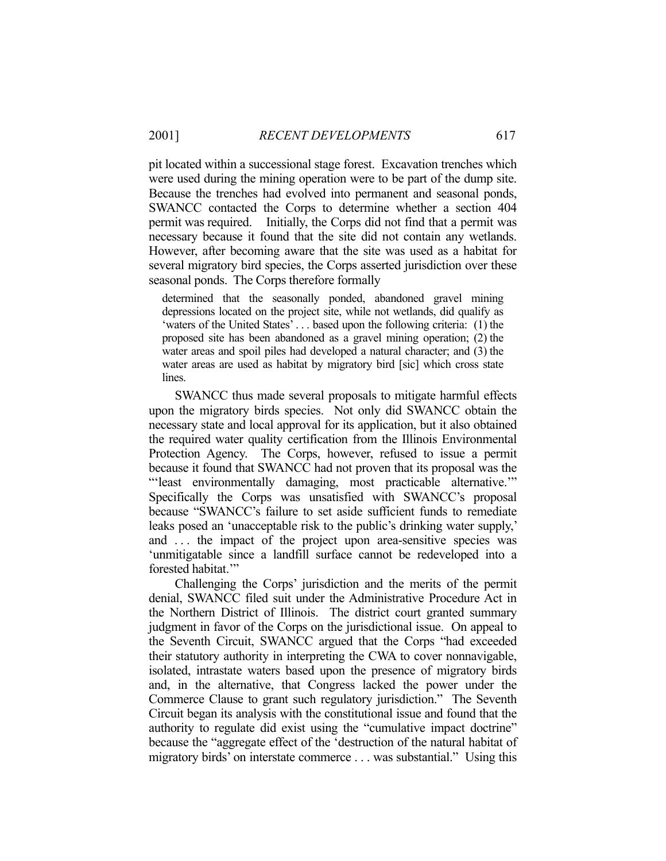pit located within a successional stage forest. Excavation trenches which were used during the mining operation were to be part of the dump site. Because the trenches had evolved into permanent and seasonal ponds, SWANCC contacted the Corps to determine whether a section 404 permit was required. Initially, the Corps did not find that a permit was necessary because it found that the site did not contain any wetlands. However, after becoming aware that the site was used as a habitat for several migratory bird species, the Corps asserted jurisdiction over these seasonal ponds. The Corps therefore formally

determined that the seasonally ponded, abandoned gravel mining depressions located on the project site, while not wetlands, did qualify as 'waters of the United States' . . . based upon the following criteria: (1) the proposed site has been abandoned as a gravel mining operation; (2) the water areas and spoil piles had developed a natural character; and (3) the water areas are used as habitat by migratory bird [sic] which cross state lines.

 SWANCC thus made several proposals to mitigate harmful effects upon the migratory birds species. Not only did SWANCC obtain the necessary state and local approval for its application, but it also obtained the required water quality certification from the Illinois Environmental Protection Agency. The Corps, however, refused to issue a permit because it found that SWANCC had not proven that its proposal was the "'least environmentally damaging, most practicable alternative.'" Specifically the Corps was unsatisfied with SWANCC's proposal because "SWANCC's failure to set aside sufficient funds to remediate leaks posed an 'unacceptable risk to the public's drinking water supply,' and ... the impact of the project upon area-sensitive species was 'unmitigatable since a landfill surface cannot be redeveloped into a forested habitat."

 Challenging the Corps' jurisdiction and the merits of the permit denial, SWANCC filed suit under the Administrative Procedure Act in the Northern District of Illinois. The district court granted summary judgment in favor of the Corps on the jurisdictional issue. On appeal to the Seventh Circuit, SWANCC argued that the Corps "had exceeded their statutory authority in interpreting the CWA to cover nonnavigable, isolated, intrastate waters based upon the presence of migratory birds and, in the alternative, that Congress lacked the power under the Commerce Clause to grant such regulatory jurisdiction." The Seventh Circuit began its analysis with the constitutional issue and found that the authority to regulate did exist using the "cumulative impact doctrine" because the "aggregate effect of the 'destruction of the natural habitat of migratory birds' on interstate commerce . . . was substantial." Using this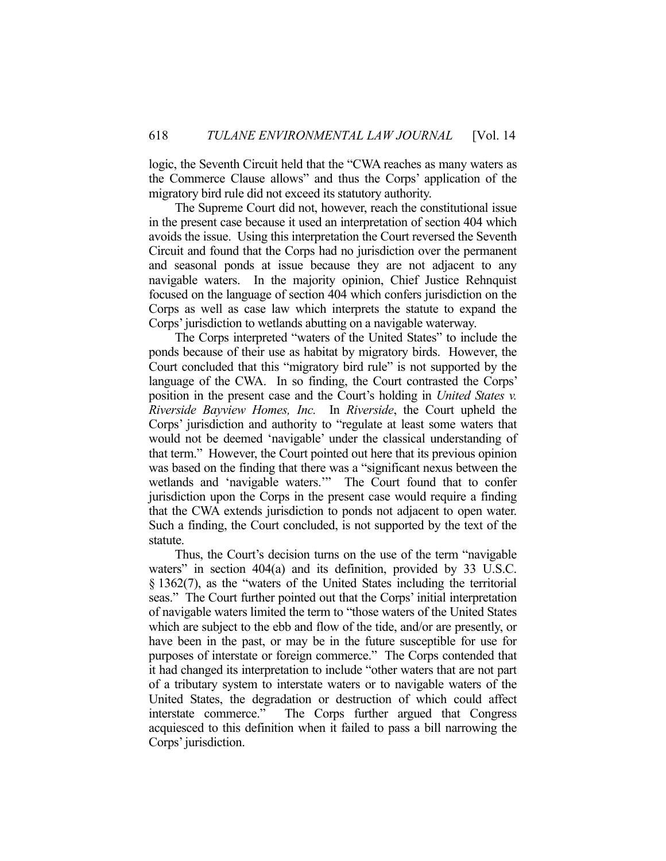logic, the Seventh Circuit held that the "CWA reaches as many waters as the Commerce Clause allows" and thus the Corps' application of the migratory bird rule did not exceed its statutory authority.

 The Supreme Court did not, however, reach the constitutional issue in the present case because it used an interpretation of section 404 which avoids the issue. Using this interpretation the Court reversed the Seventh Circuit and found that the Corps had no jurisdiction over the permanent and seasonal ponds at issue because they are not adjacent to any navigable waters. In the majority opinion, Chief Justice Rehnquist focused on the language of section 404 which confers jurisdiction on the Corps as well as case law which interprets the statute to expand the Corps' jurisdiction to wetlands abutting on a navigable waterway.

 The Corps interpreted "waters of the United States" to include the ponds because of their use as habitat by migratory birds. However, the Court concluded that this "migratory bird rule" is not supported by the language of the CWA. In so finding, the Court contrasted the Corps' position in the present case and the Court's holding in *United States v. Riverside Bayview Homes, Inc.* In *Riverside*, the Court upheld the Corps' jurisdiction and authority to "regulate at least some waters that would not be deemed 'navigable' under the classical understanding of that term." However, the Court pointed out here that its previous opinion was based on the finding that there was a "significant nexus between the wetlands and 'navigable waters.'" The Court found that to confer jurisdiction upon the Corps in the present case would require a finding that the CWA extends jurisdiction to ponds not adjacent to open water. Such a finding, the Court concluded, is not supported by the text of the statute.

 Thus, the Court's decision turns on the use of the term "navigable waters" in section 404(a) and its definition, provided by 33 U.S.C. § 1362(7), as the "waters of the United States including the territorial seas." The Court further pointed out that the Corps' initial interpretation of navigable waters limited the term to "those waters of the United States which are subject to the ebb and flow of the tide, and/or are presently, or have been in the past, or may be in the future susceptible for use for purposes of interstate or foreign commerce." The Corps contended that it had changed its interpretation to include "other waters that are not part of a tributary system to interstate waters or to navigable waters of the United States, the degradation or destruction of which could affect interstate commerce." The Corps further argued that Congress acquiesced to this definition when it failed to pass a bill narrowing the Corps' jurisdiction.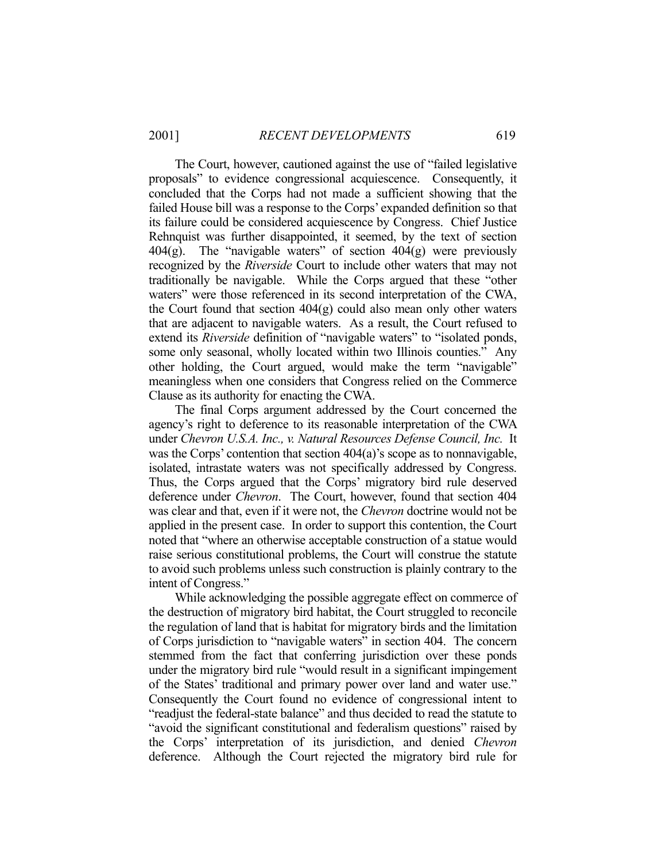The Court, however, cautioned against the use of "failed legislative proposals" to evidence congressional acquiescence. Consequently, it concluded that the Corps had not made a sufficient showing that the failed House bill was a response to the Corps' expanded definition so that its failure could be considered acquiescence by Congress. Chief Justice Rehnquist was further disappointed, it seemed, by the text of section  $404(g)$ . The "navigable waters" of section  $404(g)$  were previously recognized by the *Riverside* Court to include other waters that may not traditionally be navigable. While the Corps argued that these "other waters" were those referenced in its second interpretation of the CWA, the Court found that section  $404(g)$  could also mean only other waters that are adjacent to navigable waters. As a result, the Court refused to extend its *Riverside* definition of "navigable waters" to "isolated ponds, some only seasonal, wholly located within two Illinois counties." Any other holding, the Court argued, would make the term "navigable" meaningless when one considers that Congress relied on the Commerce Clause as its authority for enacting the CWA.

 The final Corps argument addressed by the Court concerned the agency's right to deference to its reasonable interpretation of the CWA under *Chevron U.S.A. Inc., v. Natural Resources Defense Council, Inc.* It was the Corps' contention that section 404(a)'s scope as to nonnavigable, isolated, intrastate waters was not specifically addressed by Congress. Thus, the Corps argued that the Corps' migratory bird rule deserved deference under *Chevron*. The Court, however, found that section 404 was clear and that, even if it were not, the *Chevron* doctrine would not be applied in the present case. In order to support this contention, the Court noted that "where an otherwise acceptable construction of a statue would raise serious constitutional problems, the Court will construe the statute to avoid such problems unless such construction is plainly contrary to the intent of Congress."

 While acknowledging the possible aggregate effect on commerce of the destruction of migratory bird habitat, the Court struggled to reconcile the regulation of land that is habitat for migratory birds and the limitation of Corps jurisdiction to "navigable waters" in section 404. The concern stemmed from the fact that conferring jurisdiction over these ponds under the migratory bird rule "would result in a significant impingement of the States' traditional and primary power over land and water use." Consequently the Court found no evidence of congressional intent to "readjust the federal-state balance" and thus decided to read the statute to "avoid the significant constitutional and federalism questions" raised by the Corps' interpretation of its jurisdiction, and denied *Chevron* deference. Although the Court rejected the migratory bird rule for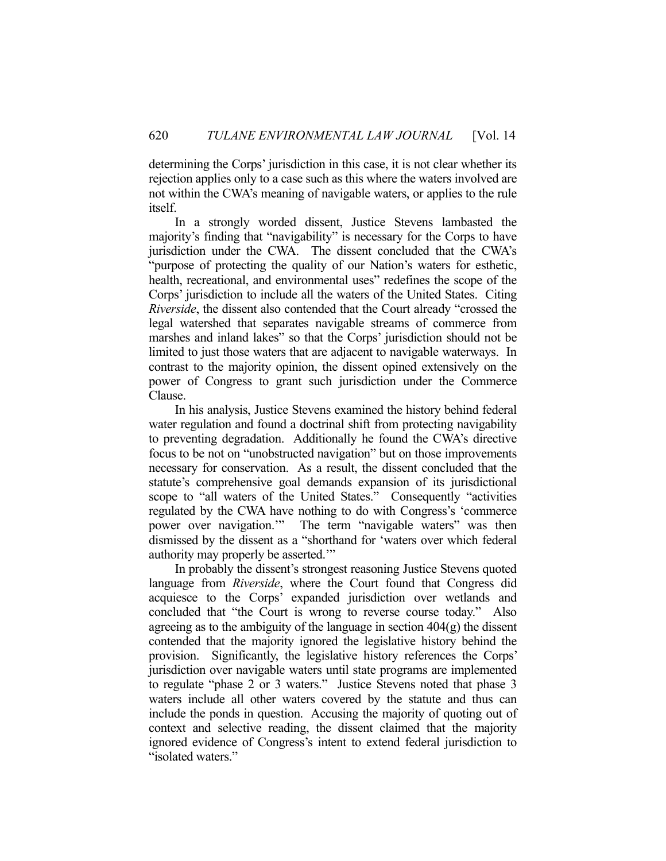determining the Corps' jurisdiction in this case, it is not clear whether its rejection applies only to a case such as this where the waters involved are not within the CWA's meaning of navigable waters, or applies to the rule itself.

 In a strongly worded dissent, Justice Stevens lambasted the majority's finding that "navigability" is necessary for the Corps to have jurisdiction under the CWA. The dissent concluded that the CWA's "purpose of protecting the quality of our Nation's waters for esthetic, health, recreational, and environmental uses" redefines the scope of the Corps' jurisdiction to include all the waters of the United States. Citing *Riverside*, the dissent also contended that the Court already "crossed the legal watershed that separates navigable streams of commerce from marshes and inland lakes" so that the Corps' jurisdiction should not be limited to just those waters that are adjacent to navigable waterways. In contrast to the majority opinion, the dissent opined extensively on the power of Congress to grant such jurisdiction under the Commerce Clause.

 In his analysis, Justice Stevens examined the history behind federal water regulation and found a doctrinal shift from protecting navigability to preventing degradation. Additionally he found the CWA's directive focus to be not on "unobstructed navigation" but on those improvements necessary for conservation. As a result, the dissent concluded that the statute's comprehensive goal demands expansion of its jurisdictional scope to "all waters of the United States." Consequently "activities regulated by the CWA have nothing to do with Congress's 'commerce power over navigation.'" The term "navigable waters" was then dismissed by the dissent as a "shorthand for 'waters over which federal authority may properly be asserted.'"

 In probably the dissent's strongest reasoning Justice Stevens quoted language from *Riverside*, where the Court found that Congress did acquiesce to the Corps' expanded jurisdiction over wetlands and concluded that "the Court is wrong to reverse course today." Also agreeing as to the ambiguity of the language in section  $404(g)$  the dissent contended that the majority ignored the legislative history behind the provision. Significantly, the legislative history references the Corps' jurisdiction over navigable waters until state programs are implemented to regulate "phase 2 or 3 waters." Justice Stevens noted that phase 3 waters include all other waters covered by the statute and thus can include the ponds in question. Accusing the majority of quoting out of context and selective reading, the dissent claimed that the majority ignored evidence of Congress's intent to extend federal jurisdiction to "isolated waters."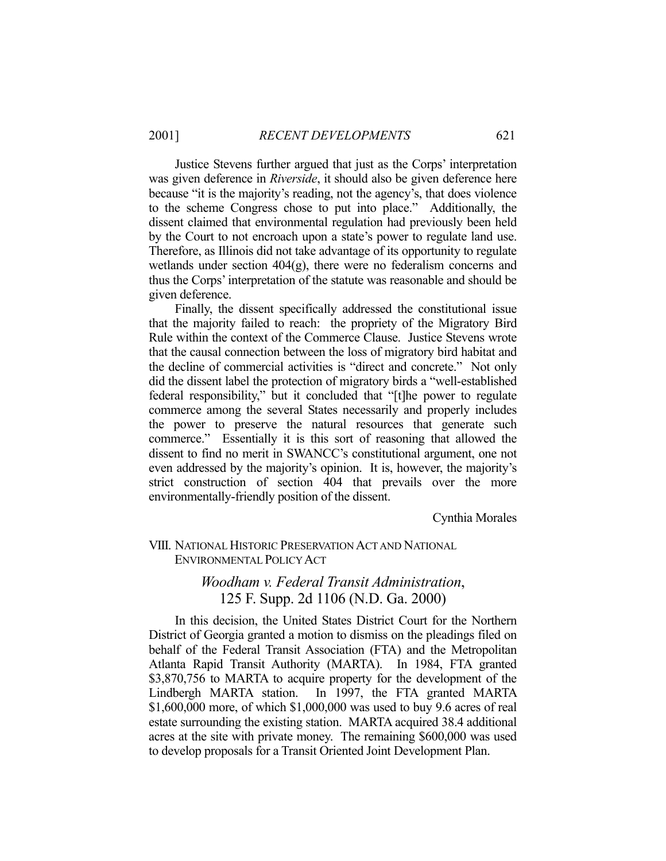Justice Stevens further argued that just as the Corps' interpretation was given deference in *Riverside*, it should also be given deference here because "it is the majority's reading, not the agency's, that does violence to the scheme Congress chose to put into place." Additionally, the dissent claimed that environmental regulation had previously been held by the Court to not encroach upon a state's power to regulate land use. Therefore, as Illinois did not take advantage of its opportunity to regulate wetlands under section 404(g), there were no federalism concerns and thus the Corps' interpretation of the statute was reasonable and should be given deference.

 Finally, the dissent specifically addressed the constitutional issue that the majority failed to reach: the propriety of the Migratory Bird Rule within the context of the Commerce Clause. Justice Stevens wrote that the causal connection between the loss of migratory bird habitat and the decline of commercial activities is "direct and concrete." Not only did the dissent label the protection of migratory birds a "well-established federal responsibility," but it concluded that "[t]he power to regulate commerce among the several States necessarily and properly includes the power to preserve the natural resources that generate such commerce." Essentially it is this sort of reasoning that allowed the dissent to find no merit in SWANCC's constitutional argument, one not even addressed by the majority's opinion. It is, however, the majority's strict construction of section 404 that prevails over the more environmentally-friendly position of the dissent.

Cynthia Morales

### VIII. NATIONAL HISTORIC PRESERVATION ACT AND NATIONAL ENVIRONMENTAL POLICY ACT

## *Woodham v. Federal Transit Administration*, 125 F. Supp. 2d 1106 (N.D. Ga. 2000)

 In this decision, the United States District Court for the Northern District of Georgia granted a motion to dismiss on the pleadings filed on behalf of the Federal Transit Association (FTA) and the Metropolitan Atlanta Rapid Transit Authority (MARTA). In 1984, FTA granted \$3,870,756 to MARTA to acquire property for the development of the Lindbergh MARTA station. In 1997, the FTA granted MARTA \$1,600,000 more, of which \$1,000,000 was used to buy 9.6 acres of real estate surrounding the existing station. MARTA acquired 38.4 additional acres at the site with private money. The remaining \$600,000 was used to develop proposals for a Transit Oriented Joint Development Plan.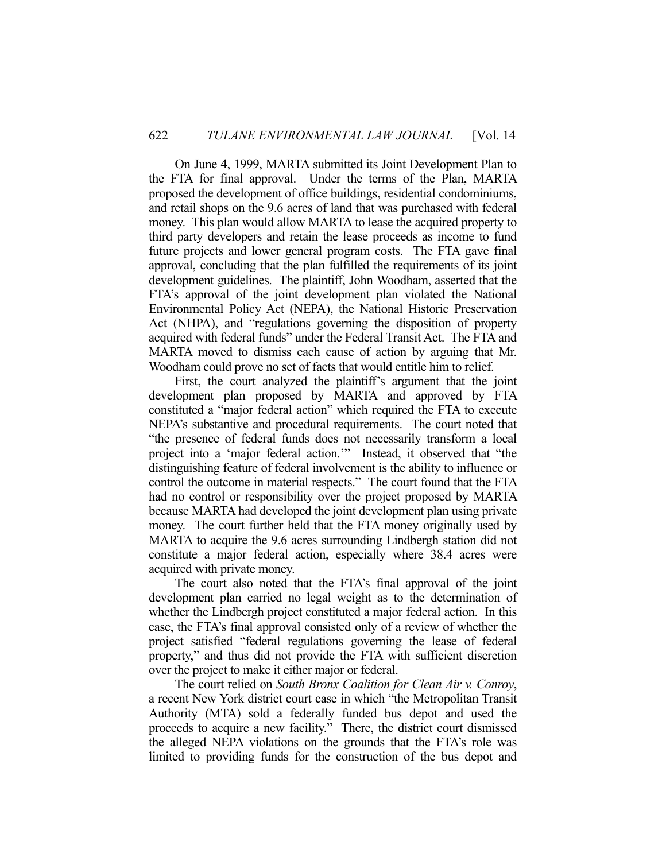On June 4, 1999, MARTA submitted its Joint Development Plan to the FTA for final approval. Under the terms of the Plan, MARTA proposed the development of office buildings, residential condominiums, and retail shops on the 9.6 acres of land that was purchased with federal money. This plan would allow MARTA to lease the acquired property to third party developers and retain the lease proceeds as income to fund future projects and lower general program costs. The FTA gave final approval, concluding that the plan fulfilled the requirements of its joint development guidelines. The plaintiff, John Woodham, asserted that the FTA's approval of the joint development plan violated the National Environmental Policy Act (NEPA), the National Historic Preservation Act (NHPA), and "regulations governing the disposition of property acquired with federal funds" under the Federal Transit Act. The FTA and MARTA moved to dismiss each cause of action by arguing that Mr. Woodham could prove no set of facts that would entitle him to relief.

 First, the court analyzed the plaintiff's argument that the joint development plan proposed by MARTA and approved by FTA constituted a "major federal action" which required the FTA to execute NEPA's substantive and procedural requirements. The court noted that "the presence of federal funds does not necessarily transform a local project into a 'major federal action.'" Instead, it observed that "the distinguishing feature of federal involvement is the ability to influence or control the outcome in material respects." The court found that the FTA had no control or responsibility over the project proposed by MARTA because MARTA had developed the joint development plan using private money. The court further held that the FTA money originally used by MARTA to acquire the 9.6 acres surrounding Lindbergh station did not constitute a major federal action, especially where 38.4 acres were acquired with private money.

 The court also noted that the FTA's final approval of the joint development plan carried no legal weight as to the determination of whether the Lindbergh project constituted a major federal action. In this case, the FTA's final approval consisted only of a review of whether the project satisfied "federal regulations governing the lease of federal property," and thus did not provide the FTA with sufficient discretion over the project to make it either major or federal.

 The court relied on *South Bronx Coalition for Clean Air v. Conroy*, a recent New York district court case in which "the Metropolitan Transit Authority (MTA) sold a federally funded bus depot and used the proceeds to acquire a new facility." There, the district court dismissed the alleged NEPA violations on the grounds that the FTA's role was limited to providing funds for the construction of the bus depot and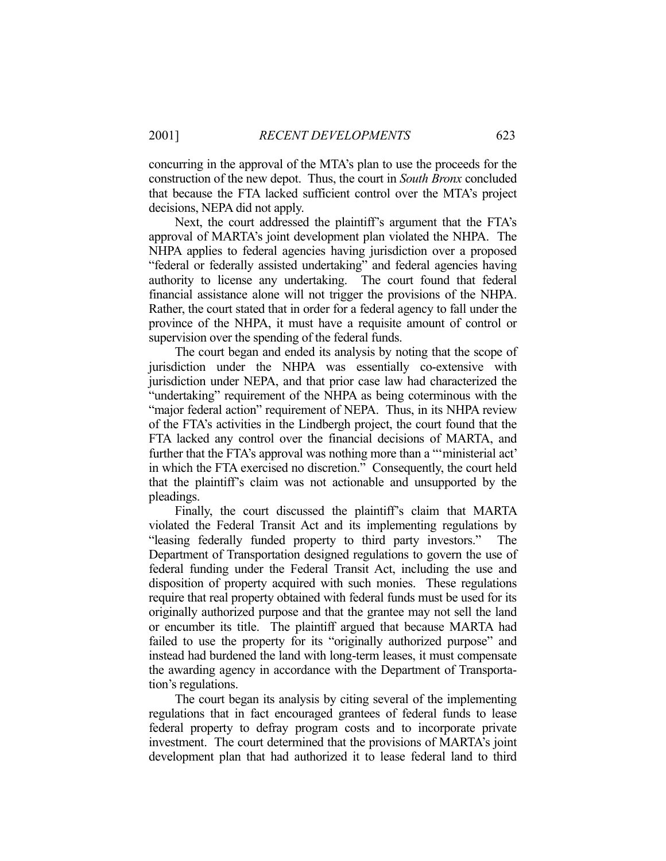concurring in the approval of the MTA's plan to use the proceeds for the construction of the new depot. Thus, the court in *South Bronx* concluded that because the FTA lacked sufficient control over the MTA's project decisions, NEPA did not apply.

 Next, the court addressed the plaintiff's argument that the FTA's approval of MARTA's joint development plan violated the NHPA. The NHPA applies to federal agencies having jurisdiction over a proposed "federal or federally assisted undertaking" and federal agencies having authority to license any undertaking. The court found that federal financial assistance alone will not trigger the provisions of the NHPA. Rather, the court stated that in order for a federal agency to fall under the province of the NHPA, it must have a requisite amount of control or supervision over the spending of the federal funds.

 The court began and ended its analysis by noting that the scope of jurisdiction under the NHPA was essentially co-extensive with jurisdiction under NEPA, and that prior case law had characterized the "undertaking" requirement of the NHPA as being coterminous with the "major federal action" requirement of NEPA. Thus, in its NHPA review of the FTA's activities in the Lindbergh project, the court found that the FTA lacked any control over the financial decisions of MARTA, and further that the FTA's approval was nothing more than a "'ministerial act' in which the FTA exercised no discretion." Consequently, the court held that the plaintiff's claim was not actionable and unsupported by the pleadings.

 Finally, the court discussed the plaintiff's claim that MARTA violated the Federal Transit Act and its implementing regulations by "leasing federally funded property to third party investors." The Department of Transportation designed regulations to govern the use of federal funding under the Federal Transit Act, including the use and disposition of property acquired with such monies. These regulations require that real property obtained with federal funds must be used for its originally authorized purpose and that the grantee may not sell the land or encumber its title. The plaintiff argued that because MARTA had failed to use the property for its "originally authorized purpose" and instead had burdened the land with long-term leases, it must compensate the awarding agency in accordance with the Department of Transportation's regulations.

 The court began its analysis by citing several of the implementing regulations that in fact encouraged grantees of federal funds to lease federal property to defray program costs and to incorporate private investment. The court determined that the provisions of MARTA's joint development plan that had authorized it to lease federal land to third